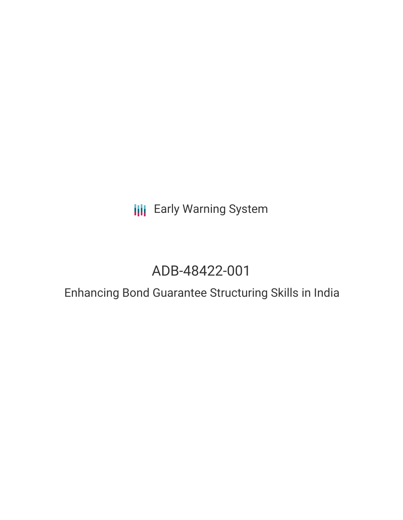**III** Early Warning System

# ADB-48422-001

## Enhancing Bond Guarantee Structuring Skills in India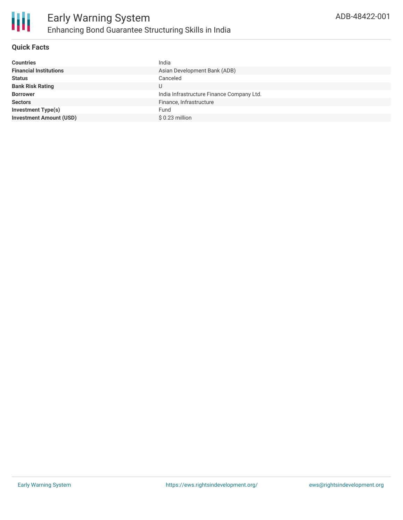

### **Quick Facts**

| <b>Countries</b>               | India                                     |
|--------------------------------|-------------------------------------------|
| <b>Financial Institutions</b>  | Asian Development Bank (ADB)              |
| <b>Status</b>                  | Canceled                                  |
| <b>Bank Risk Rating</b>        |                                           |
| <b>Borrower</b>                | India Infrastructure Finance Company Ltd. |
| <b>Sectors</b>                 | Finance, Infrastructure                   |
| <b>Investment Type(s)</b>      | Fund                                      |
| <b>Investment Amount (USD)</b> | $$0.23$ million                           |
|                                |                                           |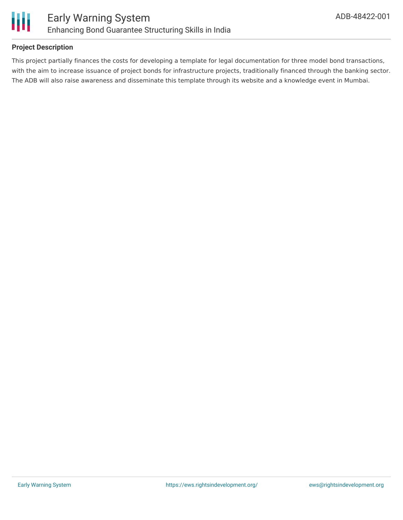

#### **Project Description**

This project partially finances the costs for developing a template for legal documentation for three model bond transactions, with the aim to increase issuance of project bonds for infrastructure projects, traditionally financed through the banking sector. The ADB will also raise awareness and disseminate this template through its website and a knowledge event in Mumbai.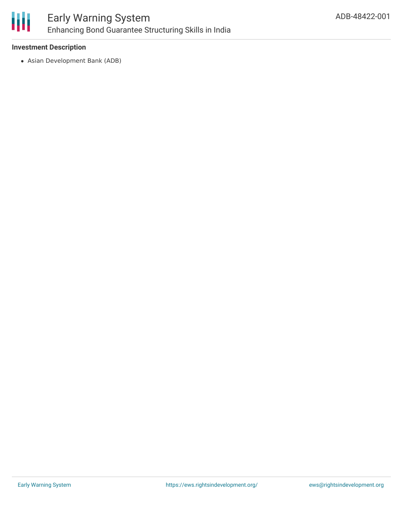

### **Investment Description**

Asian Development Bank (ADB)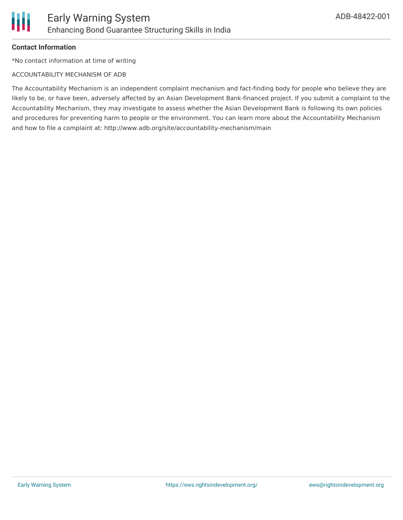### **Contact Information**

\*No contact information at time of writing

#### ACCOUNTABILITY MECHANISM OF ADB

The Accountability Mechanism is an independent complaint mechanism and fact-finding body for people who believe they are likely to be, or have been, adversely affected by an Asian Development Bank-financed project. If you submit a complaint to the Accountability Mechanism, they may investigate to assess whether the Asian Development Bank is following its own policies and procedures for preventing harm to people or the environment. You can learn more about the Accountability Mechanism and how to file a complaint at: http://www.adb.org/site/accountability-mechanism/main